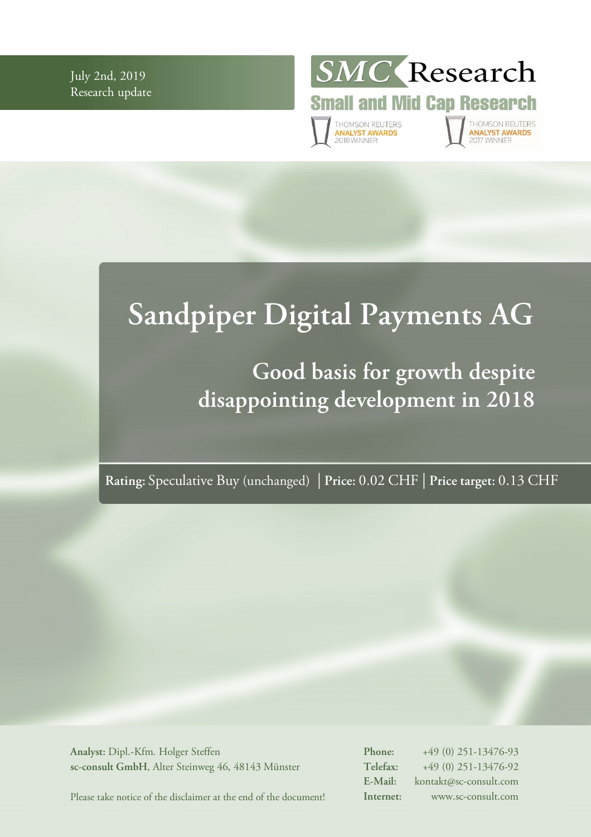July 2nd, 2019 Research update



# **Sandpiper Digital Payments AG**

## **Good basis for growth despite disappointing development in 2018**

**Rating:** Speculative Buy (unchanged) | **Price:** 0.02 CHF | **Price target:** 0.13 CHF

**Analyst:** Dipl.-Kfm. Holger Steffen **sc-consult GmbH**, Alter Steinweg 46, 48143 Münster **Phone:** +49 (0) 251-13476-93 **Telefax:** +49 (0) 251-13476-92 **E-Mail:** kontakt@sc-consult.com **Internet:** www.sc-consult.com

Please take notice of the disclaimer at the end of the document!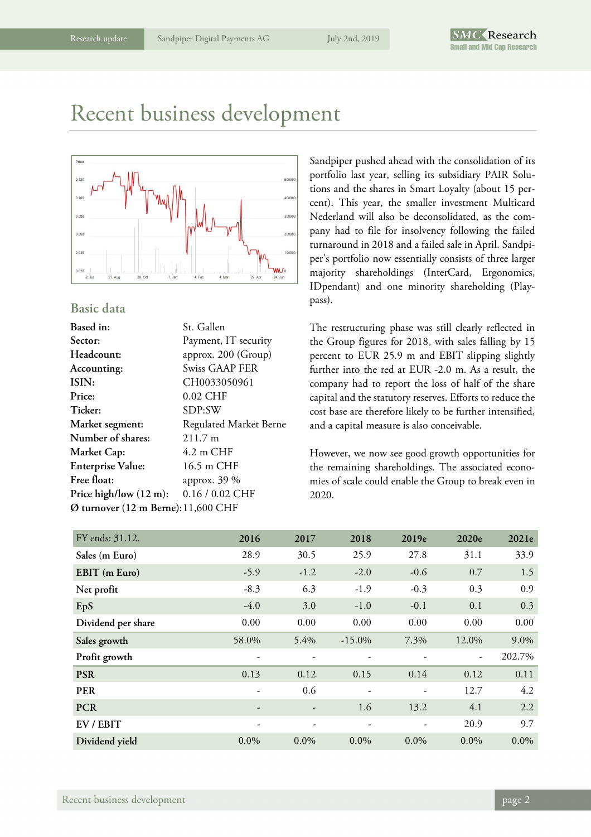### Recent business development



#### **Basic data**

| St. Gallen                          |  |  |  |  |
|-------------------------------------|--|--|--|--|
| Payment, IT security                |  |  |  |  |
| approx. 200 (Group)                 |  |  |  |  |
| <b>Swiss GAAP FER</b>               |  |  |  |  |
| CH0033050961                        |  |  |  |  |
| 0.02 CHF                            |  |  |  |  |
| SDP:SW                              |  |  |  |  |
| Regulated Market Berne              |  |  |  |  |
| $211.7 \text{ m}$                   |  |  |  |  |
| $4.2 \text{ m }$ CHF                |  |  |  |  |
| 16.5 m CHF                          |  |  |  |  |
| approx. 39 %                        |  |  |  |  |
| 0.16 / 0.02 CHF                     |  |  |  |  |
| Ø turnover (12 m Berne): 11,600 CHF |  |  |  |  |
|                                     |  |  |  |  |

Sandpiper pushed ahead with the consolidation of its portfolio last year, selling its subsidiary PAIR Solutions and the shares in Smart Loyalty (about 15 percent). This year, the smaller investment Multicard Nederland will also be deconsolidated, as the company had to file for insolvency following the failed turnaround in 2018 and a failed sale in April. Sandpiper's portfolio now essentially consists of three larger majority shareholdings (InterCard, Ergonomics, IDpendant) and one minority shareholding (Playpass).

The restructuring phase was still clearly reflected in the Group figures for 2018, with sales falling by 15 percent to EUR 25.9 m and EBIT slipping slightly further into the red at EUR -2.0 m. As a result, the company had to report the loss of half of the share capital and the statutory reserves. Efforts to reduce the cost base are therefore likely to be further intensified, and a capital measure is also conceivable.

However, we now see good growth opportunities for the remaining shareholdings. The associated economies of scale could enable the Group to break even in 2020.

| FY ends: 31.12.    | 2016    | 2017    | 2018                     | 2019e                    | 2020e                    | 2021e   |
|--------------------|---------|---------|--------------------------|--------------------------|--------------------------|---------|
| Sales (m Euro)     | 28.9    | 30.5    | 25.9                     | 27.8                     | 31.1                     | 33.9    |
| EBIT (m Euro)      | $-5.9$  | $-1.2$  | $-2.0$                   | $-0.6$                   | 0.7                      | 1.5     |
| Net profit         | $-8.3$  | 6.3     | $-1.9$                   | $-0.3$                   | 0.3                      | 0.9     |
| EpS                | $-4.0$  | 3.0     | $-1.0$                   | $-0.1$                   | 0.1                      | 0.3     |
| Dividend per share | 0.00    | 0.00    | 0.00                     | 0.00                     | 0.00                     | 0.00    |
| Sales growth       | 58.0%   | 5.4%    | $-15.0\%$                | 7.3%                     | 12.0%                    | 9.0%    |
| Profit growth      |         |         |                          |                          | $\overline{\phantom{a}}$ | 202.7%  |
| <b>PSR</b>         | 0.13    | 0.12    | 0.15                     | 0.14                     | 0.12                     | 0.11    |
| <b>PER</b>         | -       | 0.6     | $\overline{\phantom{a}}$ | $\overline{\phantom{a}}$ | 12.7                     | 4.2     |
| <b>PCR</b>         |         |         | 1.6                      | 13.2                     | 4.1                      | 2.2     |
| EV / EBIT          |         |         |                          | $\overline{\phantom{0}}$ | 20.9                     | 9.7     |
| Dividend yield     | $0.0\%$ | $0.0\%$ | $0.0\%$                  | $0.0\%$                  | $0.0\%$                  | $0.0\%$ |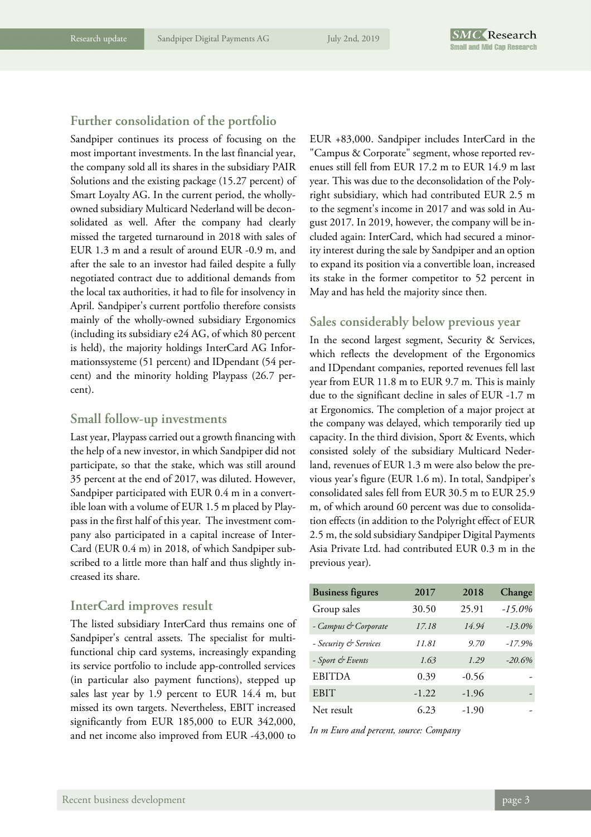#### **Further consolidation of the portfolio**

Sandpiper continues its process of focusing on the most important investments. In the last financial year, the company sold all its shares in the subsidiary PAIR Solutions and the existing package (15.27 percent) of Smart Loyalty AG. In the current period, the whollyowned subsidiary Multicard Nederland will be deconsolidated as well. After the company had clearly missed the targeted turnaround in 2018 with sales of EUR 1.3 m and a result of around EUR -0.9 m, and after the sale to an investor had failed despite a fully negotiated contract due to additional demands from the local tax authorities, it had to file for insolvency in April. Sandpiper's current portfolio therefore consists mainly of the wholly-owned subsidiary Ergonomics (including its subsidiary e24 AG, of which 80 percent is held), the majority holdings InterCard AG Informationssysteme (51 percent) and IDpendant (54 percent) and the minority holding Playpass (26.7 percent).

#### **Small follow-up investments**

Last year, Playpass carried out a growth financing with the help of a new investor, in which Sandpiper did not participate, so that the stake, which was still around 35 percent at the end of 2017, was diluted. However, Sandpiper participated with EUR 0.4 m in a convertible loan with a volume of EUR 1.5 m placed by Playpass in the first half of this year. The investment company also participated in a capital increase of Inter-Card (EUR 0.4 m) in 2018, of which Sandpiper subscribed to a little more than half and thus slightly increased its share.

#### **InterCard improves result**

The listed subsidiary InterCard thus remains one of Sandpiper's central assets. The specialist for multifunctional chip card systems, increasingly expanding its service portfolio to include app-controlled services (in particular also payment functions), stepped up sales last year by 1.9 percent to EUR 14.4 m, but missed its own targets. Nevertheless, EBIT increased significantly from EUR 185,000 to EUR 342,000, and net income also improved from EUR -43,000 to

EUR +83,000. Sandpiper includes InterCard in the "Campus & Corporate" segment, whose reported revenues still fell from EUR 17.2 m to EUR 14.9 m last year. This was due to the deconsolidation of the Polyright subsidiary, which had contributed EUR 2.5 m to the segment's income in 2017 and was sold in August 2017. In 2019, however, the company will be included again: InterCard, which had secured a minority interest during the sale by Sandpiper and an option to expand its position via a convertible loan, increased its stake in the former competitor to 52 percent in May and has held the majority since then.

#### **Sales considerably below previous year**

In the second largest segment, Security & Services, which reflects the development of the Ergonomics and IDpendant companies, reported revenues fell last year from EUR 11.8 m to EUR 9.7 m. This is mainly due to the significant decline in sales of EUR -1.7 m at Ergonomics. The completion of a major project at the company was delayed, which temporarily tied up capacity. In the third division, Sport & Events, which consisted solely of the subsidiary Multicard Nederland, revenues of EUR 1.3 m were also below the previous year's figure (EUR 1.6 m). In total, Sandpiper's consolidated sales fell from EUR 30.5 m to EUR 25.9 m, of which around 60 percent was due to consolidation effects (in addition to the Polyright effect of EUR 2.5 m, the sold subsidiary Sandpiper Digital Payments Asia Private Ltd. had contributed EUR 0.3 m in the previous year).

| <b>Business figures</b> | 2017    | 2018    | Change    |
|-------------------------|---------|---------|-----------|
| Group sales             | 30.50   | 25.91   | $-15.0\%$ |
| - Campus & Corporate    | 17.18   | 14.94   | $-13.0\%$ |
| - Security & Services   | 11.81   | 9.70    | $-17.9%$  |
| - Sport & Events        | 1.63    | 1.29    | $-20.6%$  |
| <b>EBITDA</b>           | 0.39    | $-0.56$ |           |
| <b>EBIT</b>             | $-1.22$ | $-1.96$ |           |
| Net result              | 6.23    | $-1.90$ |           |

*In m Euro and percent, source: Company*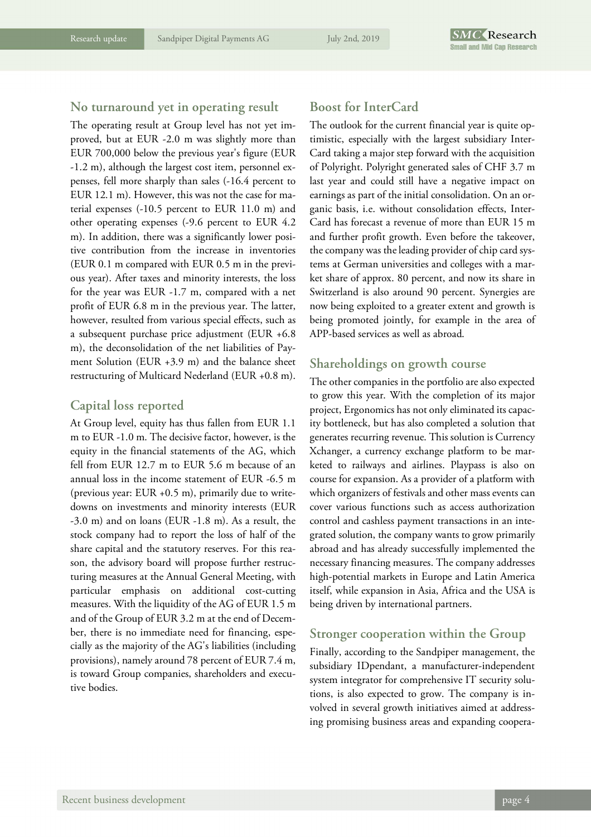#### **No turnaround yet in operating result**

The operating result at Group level has not yet improved, but at EUR -2.0 m was slightly more than EUR 700,000 below the previous year's figure (EUR -1.2 m), although the largest cost item, personnel expenses, fell more sharply than sales (-16.4 percent to EUR 12.1 m). However, this was not the case for material expenses (-10.5 percent to EUR 11.0 m) and other operating expenses (-9.6 percent to EUR 4.2 m). In addition, there was a significantly lower positive contribution from the increase in inventories (EUR 0.1 m compared with EUR 0.5 m in the previous year). After taxes and minority interests, the loss for the year was EUR -1.7 m, compared with a net profit of EUR 6.8 m in the previous year. The latter, however, resulted from various special effects, such as a subsequent purchase price adjustment (EUR +6.8 m), the deconsolidation of the net liabilities of Payment Solution (EUR +3.9 m) and the balance sheet restructuring of Multicard Nederland (EUR +0.8 m).

#### **Capital loss reported**

At Group level, equity has thus fallen from EUR 1.1 m to EUR -1.0 m. The decisive factor, however, is the equity in the financial statements of the AG, which fell from EUR 12.7 m to EUR 5.6 m because of an annual loss in the income statement of EUR -6.5 m (previous year: EUR +0.5 m), primarily due to writedowns on investments and minority interests (EUR -3.0 m) and on loans (EUR -1.8 m). As a result, the stock company had to report the loss of half of the share capital and the statutory reserves. For this reason, the advisory board will propose further restructuring measures at the Annual General Meeting, with particular emphasis on additional cost-cutting measures. With the liquidity of the AG of EUR 1.5 m and of the Group of EUR 3.2 m at the end of December, there is no immediate need for financing, especially as the majority of the AG's liabilities (including provisions), namely around 78 percent of EUR 7.4 m, is toward Group companies, shareholders and executive bodies.

#### **Boost for InterCard**

The outlook for the current financial year is quite optimistic, especially with the largest subsidiary Inter-Card taking a major step forward with the acquisition of Polyright. Polyright generated sales of CHF 3.7 m last year and could still have a negative impact on earnings as part of the initial consolidation. On an organic basis, i.e. without consolidation effects, Inter-Card has forecast a revenue of more than EUR 15 m and further profit growth. Even before the takeover, the company was the leading provider of chip card systems at German universities and colleges with a market share of approx. 80 percent, and now its share in Switzerland is also around 90 percent. Synergies are now being exploited to a greater extent and growth is being promoted jointly, for example in the area of APP-based services as well as abroad.

#### **Shareholdings on growth course**

The other companies in the portfolio are also expected to grow this year. With the completion of its major project, Ergonomics has not only eliminated its capacity bottleneck, but has also completed a solution that generates recurring revenue. This solution is Currency Xchanger, a currency exchange platform to be marketed to railways and airlines. Playpass is also on course for expansion. As a provider of a platform with which organizers of festivals and other mass events can cover various functions such as access authorization control and cashless payment transactions in an integrated solution, the company wants to grow primarily abroad and has already successfully implemented the necessary financing measures. The company addresses high-potential markets in Europe and Latin America itself, while expansion in Asia, Africa and the USA is being driven by international partners.

#### **Stronger cooperation within the Group**

Finally, according to the Sandpiper management, the subsidiary IDpendant, a manufacturer-independent system integrator for comprehensive IT security solutions, is also expected to grow. The company is involved in several growth initiatives aimed at addressing promising business areas and expanding coopera-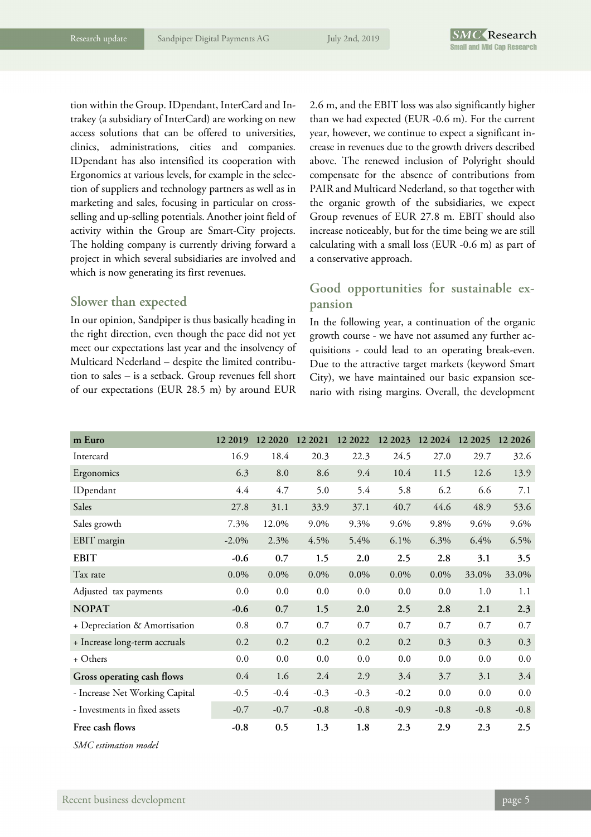tion within the Group. IDpendant, InterCard and Intrakey (a subsidiary of InterCard) are working on new access solutions that can be offered to universities, clinics, administrations, cities and companies. IDpendant has also intensified its cooperation with Ergonomics at various levels, for example in the selection of suppliers and technology partners as well as in marketing and sales, focusing in particular on crossselling and up-selling potentials. Another joint field of activity within the Group are Smart-City projects. The holding company is currently driving forward a project in which several subsidiaries are involved and which is now generating its first revenues.

#### **Slower than expected**

In our opinion, Sandpiper is thus basically heading in the right direction, even though the pace did not yet meet our expectations last year and the insolvency of Multicard Nederland – despite the limited contribution to sales – is a setback. Group revenues fell short of our expectations (EUR 28.5 m) by around EUR

2.6 m, and the EBIT loss was also significantly higher than we had expected (EUR -0.6 m). For the current year, however, we continue to expect a significant increase in revenues due to the growth drivers described above. The renewed inclusion of Polyright should compensate for the absence of contributions from PAIR and Multicard Nederland, so that together with the organic growth of the subsidiaries, we expect Group revenues of EUR 27.8 m. EBIT should also increase noticeably, but for the time being we are still calculating with a small loss (EUR -0.6 m) as part of a conservative approach.

#### **Good opportunities for sustainable expansion**

In the following year, a continuation of the organic growth course - we have not assumed any further acquisitions - could lead to an operating break-even. Due to the attractive target markets (keyword Smart City), we have maintained our basic expansion scenario with rising margins. Overall, the development

| m Euro                         | 12 2019  | 12 20 20 | 12 2021 | 12 2022 | 12 2023 | 12 2024 12 2025 |        | 12 20 26 |
|--------------------------------|----------|----------|---------|---------|---------|-----------------|--------|----------|
| Intercard                      | 16.9     | 18.4     | 20.3    | 22.3    | 24.5    | 27.0            | 29.7   | 32.6     |
| Ergonomics                     | 6.3      | 8.0      | 8.6     | 9.4     | 10.4    | 11.5            | 12.6   | 13.9     |
| IDpendant                      | 4.4      | 4.7      | 5.0     | 5.4     | 5.8     | 6.2             | 6.6    | 7.1      |
| Sales                          | 27.8     | 31.1     | 33.9    | 37.1    | 40.7    | 44.6            | 48.9   | 53.6     |
| Sales growth                   | 7.3%     | 12.0%    | 9.0%    | 9.3%    | 9.6%    | 9.8%            | 9.6%   | 9.6%     |
| EBIT margin                    | $-2.0\%$ | 2.3%     | 4.5%    | 5.4%    | 6.1%    | 6.3%            | 6.4%   | 6.5%     |
| <b>EBIT</b>                    | $-0.6$   | 0.7      | 1.5     | 2.0     | 2.5     | 2.8             | 3.1    | 3.5      |
| Tax rate                       | $0.0\%$  | $0.0\%$  | $0.0\%$ | $0.0\%$ | $0.0\%$ | $0.0\%$         | 33.0%  | 33.0%    |
| Adjusted tax payments          | 0.0      | 0.0      | 0.0     | 0.0     | 0.0     | 0.0             | 1.0    | 1.1      |
| <b>NOPAT</b>                   | $-0.6$   | 0.7      | 1.5     | 2.0     | 2.5     | 2.8             | 2.1    | 2.3      |
| + Depreciation & Amortisation  | 0.8      | 0.7      | 0.7     | 0.7     | 0.7     | 0.7             | 0.7    | 0.7      |
| + Increase long-term accruals  | 0.2      | 0.2      | 0.2     | 0.2     | 0.2     | 0.3             | 0.3    | 0.3      |
| + Others                       | 0.0      | 0.0      | 0.0     | 0.0     | 0.0     | 0.0             | 0.0    | 0.0      |
| Gross operating cash flows     | 0.4      | 1.6      | 2.4     | 2.9     | 3.4     | 3.7             | 3.1    | 3.4      |
| - Increase Net Working Capital | $-0.5$   | $-0.4$   | $-0.3$  | $-0.3$  | $-0.2$  | 0.0             | 0.0    | 0.0      |
| - Investments in fixed assets  | $-0.7$   | $-0.7$   | $-0.8$  | $-0.8$  | $-0.9$  | $-0.8$          | $-0.8$ | $-0.8$   |
| Free cash flows                | $-0.8$   | 0.5      | 1.3     | 1.8     | 2.3     | 2.9             | 2.3    | 2.5      |
|                                |          |          |         |         |         |                 |        |          |

*SMC estimation model*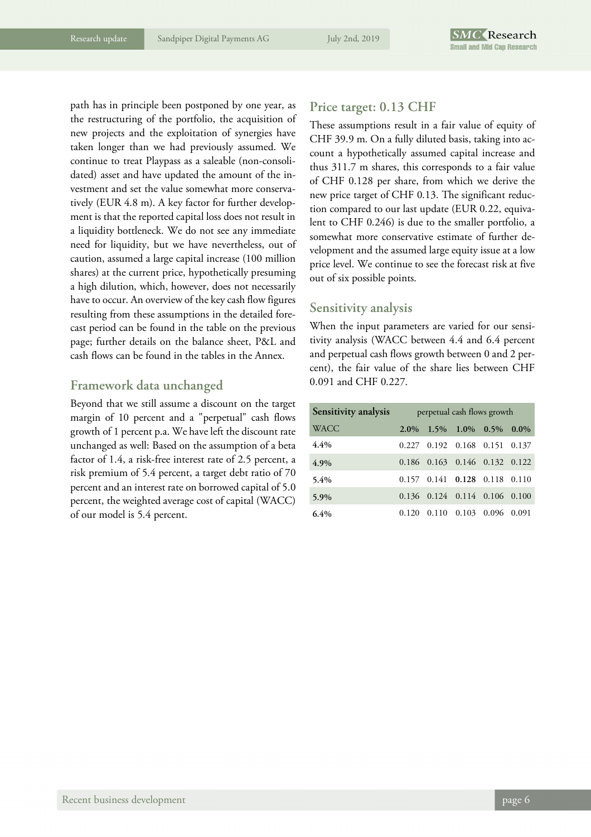path has in principle been postponed by one year, as the restructuring of the portfolio, the acquisition of new projects and the exploitation of synergies have taken longer than we had previously assumed. We continue to treat Playpass as a saleable (non-consolidated) asset and have updated the amount of the investment and set the value somewhat more conservatively (EUR 4.8 m). A key factor for further development is that the reported capital loss does not result in a liquidity bottleneck. We do not see any immediate need for liquidity, but we have nevertheless, out of caution, assumed a large capital increase (100 million shares) at the current price, hypothetically presuming a high dilution, which, however, does not necessarily have to occur. An overview of the key cash flow figures resulting from these assumptions in the detailed forecast period can be found in the table on the previous page; further details on the balance sheet, P&L and cash flows can be found in the tables in the Annex.

#### **Framework data unchanged**

Beyond that we still assume a discount on the target margin of 10 percent and a "perpetual" cash flows growth of 1 percent p.a. We have left the discount rate unchanged as well: Based on the assumption of a beta factor of 1.4, a risk-free interest rate of 2.5 percent, a risk premium of 5.4 percent, a target debt ratio of 70 percent and an interest rate on borrowed capital of 5.0 percent, the weighted average cost of capital (WACC) of our model is 5.4 percent.

#### **Price target: 0.13 CHF**

These assumptions result in a fair value of equity of CHF 39.9 m. On a fully diluted basis, taking into account a hypothetically assumed capital increase and thus 311.7 m shares, this corresponds to a fair value of CHF 0.128 per share, from which we derive the new price target of CHF 0.13. The significant reduction compared to our last update (EUR 0.22, equivalent to CHF 0.246) is due to the smaller portfolio, a somewhat more conservative estimate of further development and the assumed large equity issue at a low price level. We continue to see the forecast risk at five out of six possible points.

#### **Sensitivity analysis**

When the input parameters are varied for our sensitivity analysis (WACC between 4.4 and 6.4 percent and perpetual cash flows growth between 0 and 2 percent), the fair value of the share lies between CHF 0.091 and CHF 0.227.

| Sensitivity analysis | perpetual cash flows growth |  |                                         |  |  |  |
|----------------------|-----------------------------|--|-----------------------------------------|--|--|--|
| <b>WACC</b>          | $2.0\%$                     |  | $1.5\%$ $1.0\%$ $0.5\%$ $0.0\%$         |  |  |  |
| 4.4%                 |                             |  | $0.227$ $0.192$ $0.168$ $0.151$ $0.137$ |  |  |  |
| 4.9%                 |                             |  | 0.186 0.163 0.146 0.132 0.122           |  |  |  |
| $5.4\%$              |                             |  | 0.157 0.141 0.128 0.118 0.110           |  |  |  |
| 5.9%                 |                             |  | $0.136$ $0.124$ $0.114$ $0.106$ $0.100$ |  |  |  |
| $6.4\%$              | 0.120                       |  | 0.110 0.103 0.096 0.091                 |  |  |  |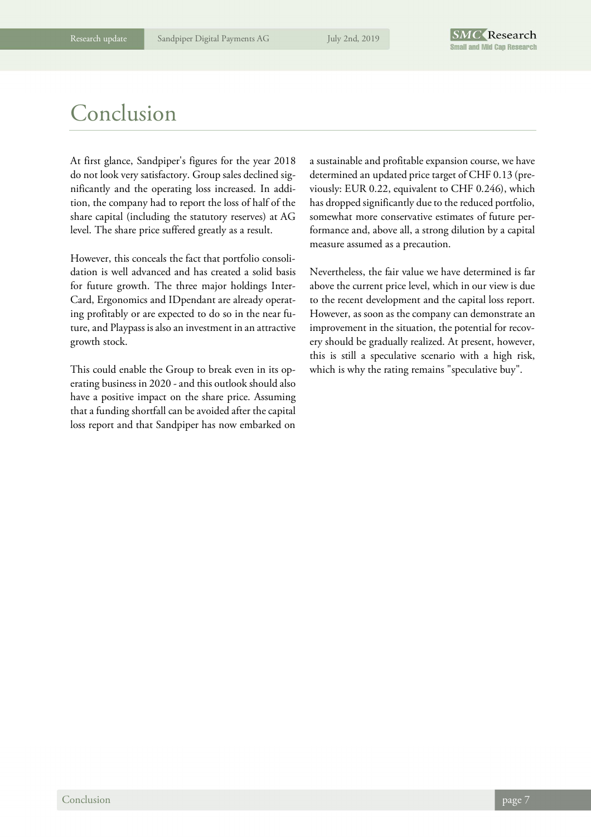### Conclusion

At first glance, Sandpiper's figures for the year 2018 do not look very satisfactory. Group sales declined significantly and the operating loss increased. In addition, the company had to report the loss of half of the share capital (including the statutory reserves) at AG level. The share price suffered greatly as a result.

However, this conceals the fact that portfolio consolidation is well advanced and has created a solid basis for future growth. The three major holdings Inter-Card, Ergonomics and IDpendant are already operating profitably or are expected to do so in the near future, and Playpass is also an investment in an attractive growth stock.

This could enable the Group to break even in its operating business in 2020 - and this outlook should also have a positive impact on the share price. Assuming that a funding shortfall can be avoided after the capital loss report and that Sandpiper has now embarked on

a sustainable and profitable expansion course, we have determined an updated price target of CHF 0.13 (previously: EUR 0.22, equivalent to CHF 0.246), which has dropped significantly due to the reduced portfolio, somewhat more conservative estimates of future performance and, above all, a strong dilution by a capital measure assumed as a precaution.

Nevertheless, the fair value we have determined is far above the current price level, which in our view is due to the recent development and the capital loss report. However, as soon as the company can demonstrate an improvement in the situation, the potential for recovery should be gradually realized. At present, however, this is still a speculative scenario with a high risk, which is why the rating remains "speculative buy".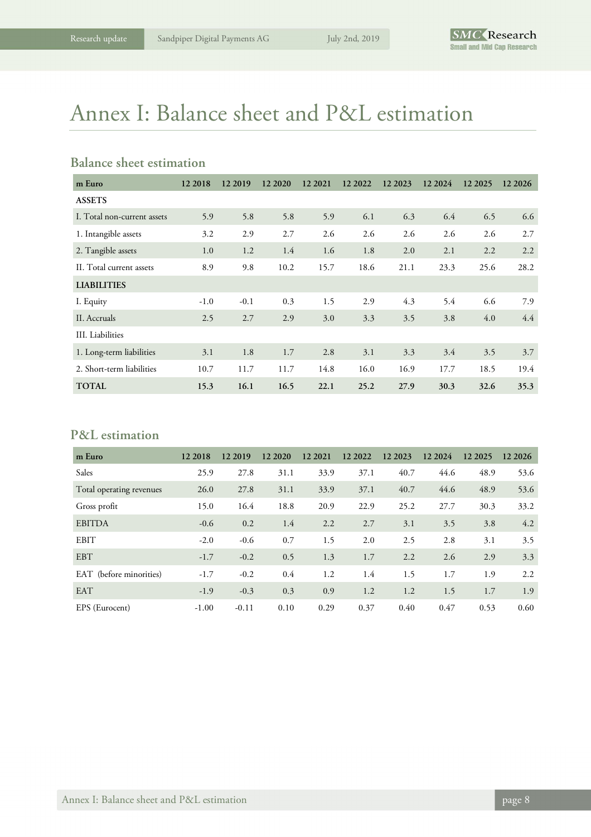## Annex I: Balance sheet and P&L estimation

#### **Balance sheet estimation**

| m Euro                      | 12 2018 | 12 2019 | 12 20 20 | 12 2021 | 12 2022 | 12 2023 | 12 20 24 | 12 2025 | 12 2026 |
|-----------------------------|---------|---------|----------|---------|---------|---------|----------|---------|---------|
| <b>ASSETS</b>               |         |         |          |         |         |         |          |         |         |
| I. Total non-current assets | 5.9     | 5.8     | 5.8      | 5.9     | 6.1     | 6.3     | 6.4      | 6.5     | 6.6     |
| 1. Intangible assets        | 3.2     | 2.9     | 2.7      | 2.6     | 2.6     | 2.6     | 2.6      | 2.6     | 2.7     |
| 2. Tangible assets          | 1.0     | 1.2     | 1.4      | 1.6     | 1.8     | 2.0     | 2.1      | 2.2     | 2.2     |
| II. Total current assets    | 8.9     | 9.8     | 10.2     | 15.7    | 18.6    | 21.1    | 23.3     | 25.6    | 28.2    |
| <b>LIABILITIES</b>          |         |         |          |         |         |         |          |         |         |
| I. Equity                   | $-1.0$  | $-0.1$  | 0.3      | 1.5     | 2.9     | 4.3     | 5.4      | 6.6     | 7.9     |
| II. Accruals                | 2.5     | 2.7     | 2.9      | 3.0     | 3.3     | 3.5     | 3.8      | 4.0     | 4.4     |
| III. Liabilities            |         |         |          |         |         |         |          |         |         |
| 1. Long-term liabilities    | 3.1     | 1.8     | 1.7      | 2.8     | 3.1     | 3.3     | 3.4      | 3.5     | 3.7     |
| 2. Short-term liabilities   | 10.7    | 11.7    | 11.7     | 14.8    | 16.0    | 16.9    | 17.7     | 18.5    | 19.4    |
| <b>TOTAL</b>                | 15.3    | 16.1    | 16.5     | 22.1    | 25.2    | 27.9    | 30.3     | 32.6    | 35.3    |

#### **P&L estimation**

| m Euro                   | 12 2018 | 12 2019 | 12 20 20 | 12 2021 | 12 2022 | 12 2023 | 12 2024 | 12 2025 | 12 2026 |
|--------------------------|---------|---------|----------|---------|---------|---------|---------|---------|---------|
| Sales                    | 25.9    | 27.8    | 31.1     | 33.9    | 37.1    | 40.7    | 44.6    | 48.9    | 53.6    |
| Total operating revenues | 26.0    | 27.8    | 31.1     | 33.9    | 37.1    | 40.7    | 44.6    | 48.9    | 53.6    |
| Gross profit             | 15.0    | 16.4    | 18.8     | 20.9    | 22.9    | 25.2    | 27.7    | 30.3    | 33.2    |
| <b>EBITDA</b>            | $-0.6$  | 0.2     | 1.4      | 2.2     | 2.7     | 3.1     | 3.5     | 3.8     | 4.2     |
| <b>EBIT</b>              | $-2.0$  | $-0.6$  | 0.7      | 1.5     | 2.0     | 2.5     | 2.8     | 3.1     | 3.5     |
| <b>EBT</b>               | $-1.7$  | $-0.2$  | 0.5      | 1.3     | 1.7     | 2.2     | 2.6     | 2.9     | 3.3     |
| EAT (before minorities)  | $-1.7$  | $-0.2$  | 0.4      | 1.2     | 1.4     | 1.5     | 1.7     | 1.9     | 2.2     |
| <b>EAT</b>               | $-1.9$  | $-0.3$  | 0.3      | 0.9     | 1.2     | 1.2     | 1.5     | 1.7     | 1.9     |
| EPS (Eurocent)           | $-1.00$ | $-0.11$ | 0.10     | 0.29    | 0.37    | 0.40    | 0.47    | 0.53    | 0.60    |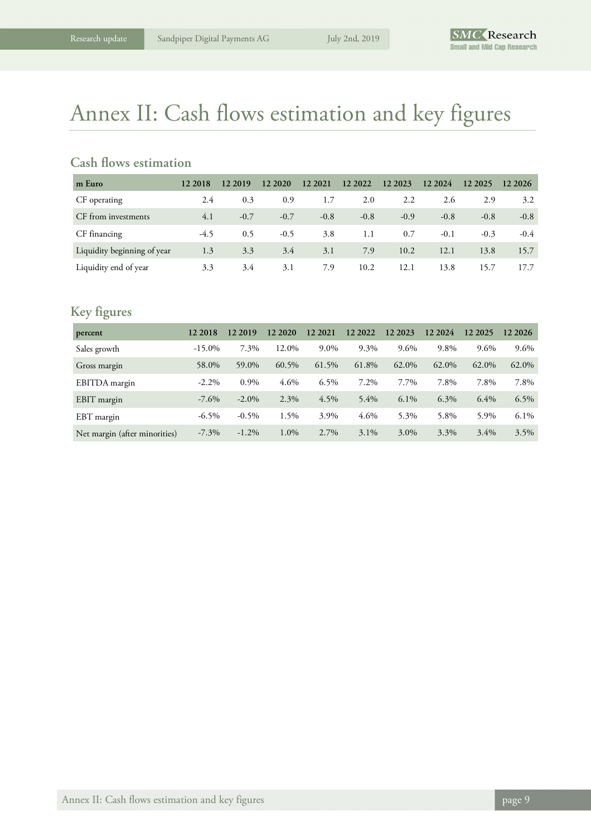## Annex II: Cash flows estimation and key figures

#### **Cash flows estimation**

| m Euro                      | 12 2018 | 12 2019 | 12 20 20 | 12 2021 | 12 2022 | 12 2023 | 12 2024 | 12 2025 | 12 2026 |
|-----------------------------|---------|---------|----------|---------|---------|---------|---------|---------|---------|
| CF operating                | 2.4     | 0.3     | 0.9      | 1.7     | 2.0     | 2.2     | 2.6     | 2.9     | 3.2     |
| CF from investments         | 4.1     | $-0.7$  | $-0.7$   | $-0.8$  | $-0.8$  | $-0.9$  | $-0.8$  | $-0.8$  | $-0.8$  |
| CF financing                | $-4.5$  | 0.5     | $-0.5$   | 3.8     | 1.1     | 0.7     | $-0.1$  | $-0.3$  | $-0.4$  |
| Liquidity beginning of year | 1.3     | 3.3     | 3.4      | 3.1     | 7.9     | 10.2    | 12.1    | 13.8    | 15.7    |
| Liquidity end of year       | 3.3     | 3.4     | 3.1      | 7.9     | 10.2    | 12.1    | 13.8    | 15.7    | 17.7    |

#### **Key figures**

| percent                       | 12 2018   | 12 2019  | 12 20 20 | 12 2021 | 12 2022 | 12 2023 | 12 2024 | 12 2025 | 12 2026 |
|-------------------------------|-----------|----------|----------|---------|---------|---------|---------|---------|---------|
| Sales growth                  | $-15.0\%$ | 7.3%     | 12.0%    | 9.0%    | 9.3%    | 9.6%    | 9.8%    | 9.6%    | 9.6%    |
| Gross margin                  | 58.0%     | 59.0%    | 60.5%    | 61.5%   | 61.8%   | 62.0%   | 62.0%   | 62.0%   | 62.0%   |
| EBITDA margin                 | $-2.2\%$  | 0.9%     | 4.6%     | $6.5\%$ | 7.2%    | 7.7%    | 7.8%    | 7.8%    | 7.8%    |
| EBIT margin                   | $-7.6\%$  | $-2.0\%$ | 2.3%     | 4.5%    | $5.4\%$ | $6.1\%$ | 6.3%    | 6.4%    | $6.5\%$ |
| EBT margin                    | $-6.5\%$  | $-0.5\%$ | 1.5%     | 3.9%    | 4.6%    | 5.3%    | 5.8%    | 5.9%    | $6.1\%$ |
| Net margin (after minorities) | $-7.3\%$  | $-1.2\%$ | 1.0%     | 2.7%    | $3.1\%$ | 3.0%    | 3.3%    | $3.4\%$ | 3.5%    |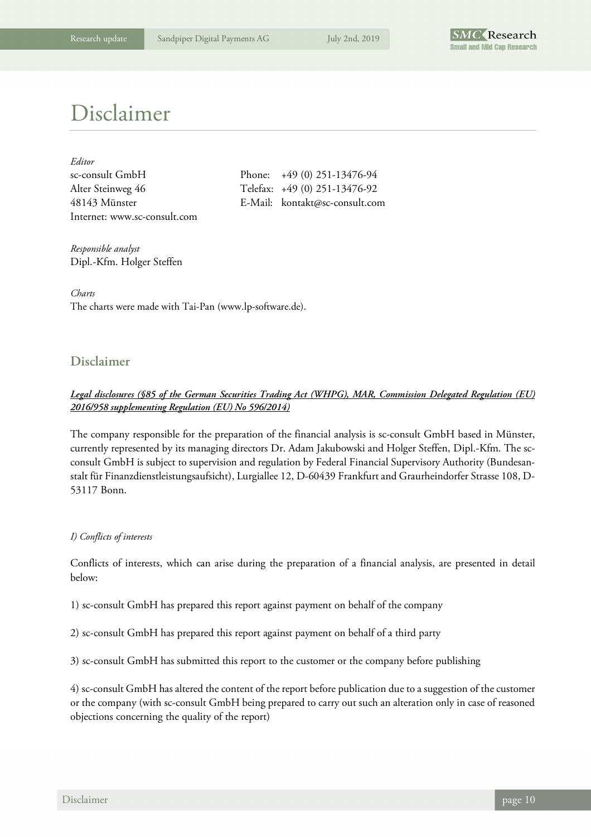

## Disclaimer

| Editor                       |
|------------------------------|
| sc-consult GmbH              |
| Alter Steinweg 46            |
| 48143 Münster                |
| Internet: www.sc-consult.com |

Phone:  $+49 (0) 251-13476-94$ Telefax: +49 (0) 251-13476-92 E-Mail: kontakt@sc-consult.com

*Responsible analyst*  Dipl.-Kfm. Holger Steffen

*Charts*  The charts were made with Tai-Pan (www.lp-software.de).

#### **Disclaimer**

#### *Legal disclosures (§85 of the German Securities Trading Act (WHPG), MAR, Commission Delegated Regulation (EU) 2016/958 supplementing Regulation (EU) No 596/2014)*

The company responsible for the preparation of the financial analysis is sc-consult GmbH based in Münster, currently represented by its managing directors Dr. Adam Jakubowski and Holger Steffen, Dipl.-Kfm. The scconsult GmbH is subject to supervision and regulation by Federal Financial Supervisory Authority (Bundesanstalt für Finanzdienstleistungsaufsicht), Lurgiallee 12, D-60439 Frankfurt and Graurheindorfer Strasse 108, D-53117 Bonn.

#### *I) Conflicts of interests*

Conflicts of interests, which can arise during the preparation of a financial analysis, are presented in detail below:

1) sc-consult GmbH has prepared this report against payment on behalf of the company

2) sc-consult GmbH has prepared this report against payment on behalf of a third party

3) sc-consult GmbH has submitted this report to the customer or the company before publishing

4) sc-consult GmbH has altered the content of the report before publication due to a suggestion of the customer or the company (with sc-consult GmbH being prepared to carry out such an alteration only in case of reasoned objections concerning the quality of the report)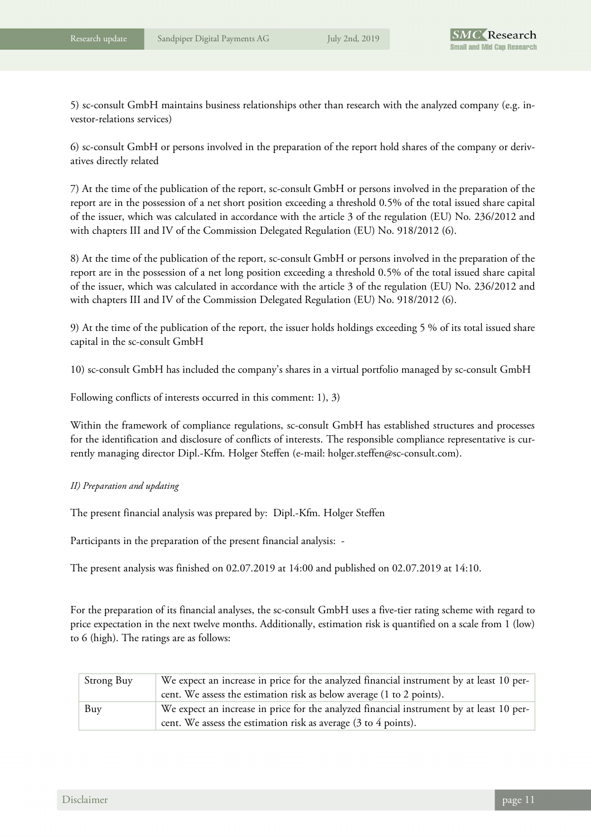5) sc-consult GmbH maintains business relationships other than research with the analyzed company (e.g. investor-relations services)

6) sc-consult GmbH or persons involved in the preparation of the report hold shares of the company or derivatives directly related

7) At the time of the publication of the report, sc-consult GmbH or persons involved in the preparation of the report are in the possession of a net short position exceeding a threshold 0.5% of the total issued share capital of the issuer, which was calculated in accordance with the article 3 of the regulation (EU) No. 236/2012 and with chapters III and IV of the Commission Delegated Regulation (EU) No. 918/2012 (6).

8) At the time of the publication of the report, sc-consult GmbH or persons involved in the preparation of the report are in the possession of a net long position exceeding a threshold 0.5% of the total issued share capital of the issuer, which was calculated in accordance with the article 3 of the regulation (EU) No. 236/2012 and with chapters III and IV of the Commission Delegated Regulation (EU) No. 918/2012 (6).

9) At the time of the publication of the report, the issuer holds holdings exceeding 5 % of its total issued share capital in the sc-consult GmbH

10) sc-consult GmbH has included the company's shares in a virtual portfolio managed by sc-consult GmbH

Following conflicts of interests occurred in this comment: 1), 3)

Within the framework of compliance regulations, sc-consult GmbH has established structures and processes for the identification and disclosure of conflicts of interests. The responsible compliance representative is currently managing director Dipl.-Kfm. Holger Steffen (e-mail: holger.steffen@sc-consult.com).

#### *II) Preparation and updating*

The present financial analysis was prepared by: Dipl.-Kfm. Holger Steffen

Participants in the preparation of the present financial analysis: -

The present analysis was finished on 02.07.2019 at 14:00 and published on 02.07.2019 at 14:10.

For the preparation of its financial analyses, the sc-consult GmbH uses a five-tier rating scheme with regard to price expectation in the next twelve months. Additionally, estimation risk is quantified on a scale from 1 (low) to 6 (high). The ratings are as follows:

| Strong Buy | We expect an increase in price for the analyzed financial instrument by at least 10 per-<br>cent. We assess the estimation risk as below average (1 to 2 points).               |
|------------|---------------------------------------------------------------------------------------------------------------------------------------------------------------------------------|
| Buy        | We expect an increase in price for the analyzed financial instrument by at least 10 per-<br>cent. We assess the estimation risk as average $(3 \text{ to } 4 \text{ points})$ . |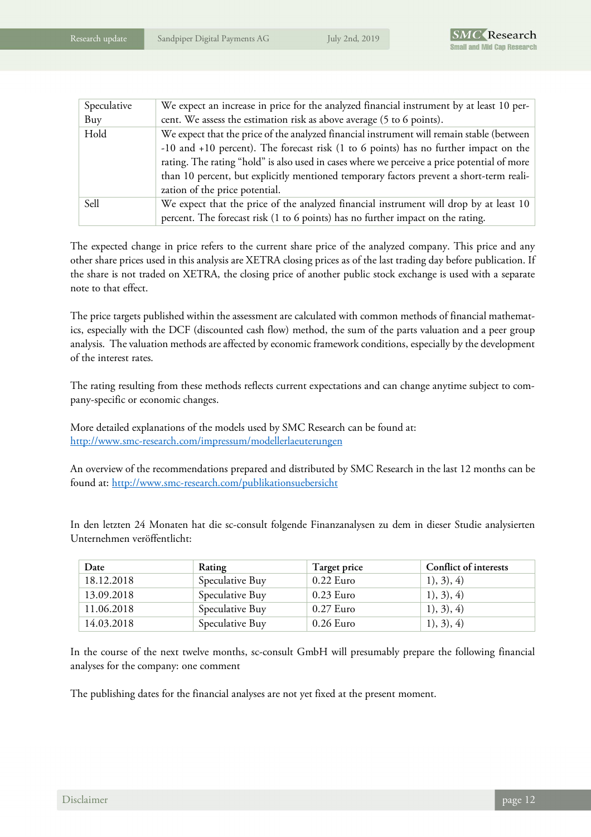| Speculative | We expect an increase in price for the analyzed financial instrument by at least 10 per-    |
|-------------|---------------------------------------------------------------------------------------------|
| Buy         | cent. We assess the estimation risk as above average (5 to 6 points).                       |
| Hold        | We expect that the price of the analyzed financial instrument will remain stable (between   |
|             | $-10$ and $+10$ percent). The forecast risk (1 to 6 points) has no further impact on the    |
|             | rating. The rating "hold" is also used in cases where we perceive a price potential of more |
|             | than 10 percent, but explicitly mentioned temporary factors prevent a short-term reali-     |
|             | zation of the price potential.                                                              |
| Sell        | We expect that the price of the analyzed financial instrument will drop by at least 10      |
|             | percent. The forecast risk (1 to 6 points) has no further impact on the rating.             |

The expected change in price refers to the current share price of the analyzed company. This price and any other share prices used in this analysis are XETRA closing prices as of the last trading day before publication. If the share is not traded on XETRA, the closing price of another public stock exchange is used with a separate note to that effect.

The price targets published within the assessment are calculated with common methods of financial mathematics, especially with the DCF (discounted cash flow) method, the sum of the parts valuation and a peer group analysis. The valuation methods are affected by economic framework conditions, especially by the development of the interest rates.

The rating resulting from these methods reflects current expectations and can change anytime subject to company-specific or economic changes.

More detailed explanations of the models used by SMC Research can be found at: http://www.smc-research.com/impressum/modellerlaeuterungen

An overview of the recommendations prepared and distributed by SMC Research in the last 12 months can be found at: http://www.smc-research.com/publikationsuebersicht

In den letzten 24 Monaten hat die sc-consult folgende Finanzanalysen zu dem in dieser Studie analysierten Unternehmen veröffentlicht:

| Date       | Rating          | Target price | Conflict of interests |
|------------|-----------------|--------------|-----------------------|
| 18.12.2018 | Speculative Buy | $0.22$ Euro  | 1), 3), 4)            |
| 13.09.2018 | Speculative Buy | $0.23$ Euro  | 1), 3), 4)            |
| 11.06.2018 | Speculative Buy | $0.27$ Euro  | 1), 3), 4)            |
| 14.03.2018 | Speculative Buy | $0.26$ Euro  | 1), 3), 4)            |

In the course of the next twelve months, sc-consult GmbH will presumably prepare the following financial analyses for the company: one comment

The publishing dates for the financial analyses are not yet fixed at the present moment.